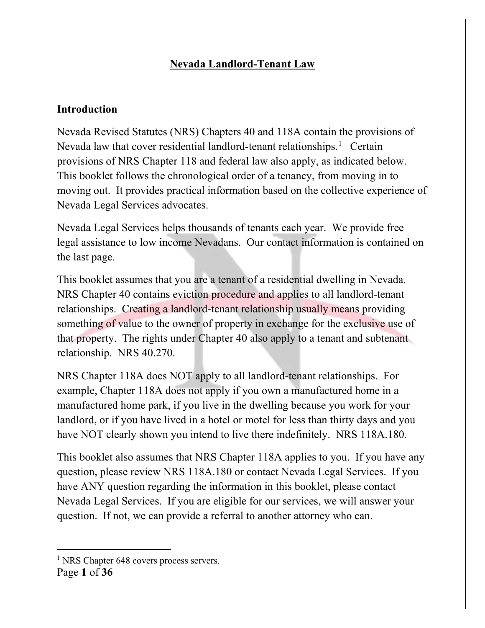# **Nevada Landlord-Tenant Law**

### **Introduction**

Nevada Revised Statutes (NRS) Chapters 40 and 118A contain the provisions of Nevada law that cover residential landlord-tenant relationships.<sup>[1](#page-0-0)</sup> Certain provisions of NRS Chapter 118 and federal law also apply, as indicated below. This booklet follows the chronological order of a tenancy, from moving in to moving out. It provides practical information based on the collective experience of Nevada Legal Services advocates.

Nevada Legal Services helps thousands of tenants each year. We provide free legal assistance to low income Nevadans. Our contact information is contained on the last page.

This booklet assumes that you are a tenant of a residential dwelling in Nevada. NRS Chapter 40 contains eviction procedure and applies to all landlord-tenant relationships. Creating a landlord-tenant relationship usually means providing something of value to the owner of property in exchange for the exclusive use of that property. The rights under Chapter 40 also apply to a tenant and subtenant relationship. NRS 40.270.

NRS Chapter 118A does NOT apply to all landlord-tenant relationships. For example, Chapter 118A does not apply if you own a manufactured home in a manufactured home park, if you live in the dwelling because you work for your landlord, or if you have lived in a hotel or motel for less than thirty days and you have NOT clearly shown you intend to live there indefinitely. NRS 118A.180.

This booklet also assumes that NRS Chapter 118A applies to you. If you have any question, please review NRS 118A.180 or contact Nevada Legal Services. If you have ANY question regarding the information in this booklet, please contact Nevada Legal Services. If you are eligible for our services, we will answer your question. If not, we can provide a referral to another attorney who can.

<span id="page-0-0"></span>Page **1** of **36** <sup>1</sup> NRS Chapter 648 covers process servers.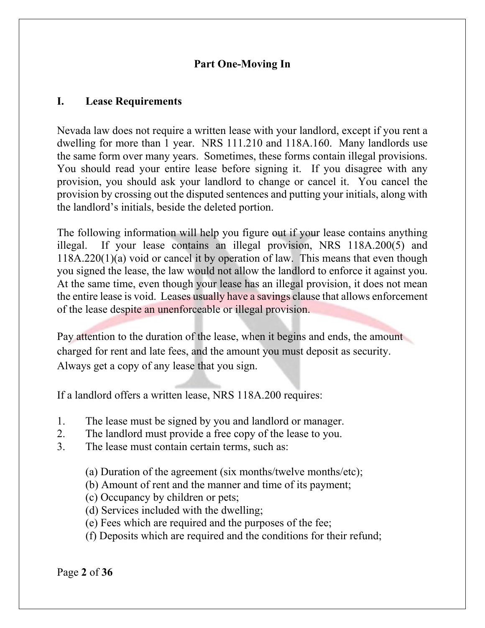### **Part One-Moving In**

### **I. Lease Requirements**

Nevada law does not require a written lease with your landlord, except if you rent a dwelling for more than 1 year. NRS 111.210 and 118A.160. Many landlords use the same form over many years. Sometimes, these forms contain illegal provisions. You should read your entire lease before signing it. If you disagree with any provision, you should ask your landlord to change or cancel it. You cancel the provision by crossing out the disputed sentences and putting your initials, along with the landlord's initials, beside the deleted portion.

The following information will help you figure out if your lease contains anything illegal. If your lease contains an illegal provision, NRS 118A.200(5) and 118A.220(1)(a) void or cancel it by operation of law. This means that even though you signed the lease, the law would not allow the landlord to enforce it against you. At the same time, even though your lease has an illegal provision, it does not mean the entire lease is void. Leases usually have a savings clause that allows enforcement of the lease despite an unenforceable or illegal provision.

Pay attention to the duration of the lease, when it begins and ends, the amount charged for rent and late fees, and the amount you must deposit as security. Always get a copy of any lease that you sign.

If a landlord offers a written lease, NRS 118A.200 requires:

- 1. The lease must be signed by you and landlord or manager.
- 2. The landlord must provide a free copy of the lease to you.
- 3. The lease must contain certain terms, such as:
	- (a) Duration of the agreement (six months/twelve months/etc);
	- (b) Amount of rent and the manner and time of its payment;
	- (c) Occupancy by children or pets;
	- (d) Services included with the dwelling;
	- (e) Fees which are required and the purposes of the fee;
	- (f) Deposits which are required and the conditions for their refund;

Page **2** of **36**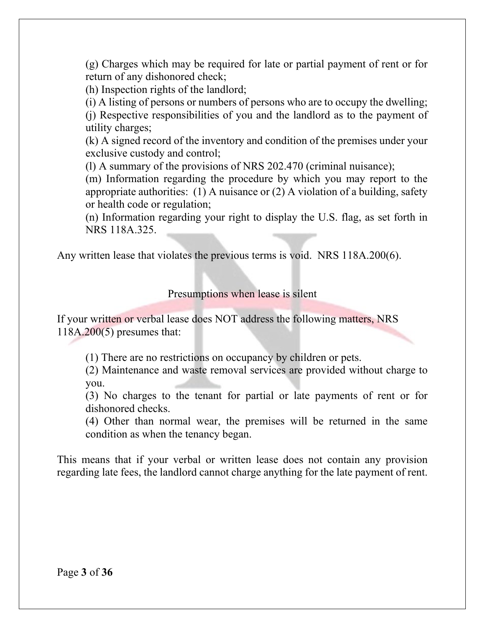(g) Charges which may be required for late or partial payment of rent or for return of any dishonored check;

(h) Inspection rights of the landlord;

(i) A listing of persons or numbers of persons who are to occupy the dwelling;

(j) Respective responsibilities of you and the landlord as to the payment of utility charges;

(k) A signed record of the inventory and condition of the premises under your exclusive custody and control;

(l) A summary of the provisions of NRS 202.470 (criminal nuisance);

(m) Information regarding the procedure by which you may report to the appropriate authorities: (1) A nuisance or (2) A violation of a building, safety or health code or regulation;

(n) Information regarding your right to display the U.S. flag, as set forth in NRS 118A.325.

Any written lease that violates the previous terms is void. NRS 118A.200(6).

Presumptions when lease is silent

If your written or verbal lease does NOT address the following matters, NRS 118A.200(5) presumes that:

(1) There are no restrictions on occupancy by children or pets.

 (2) Maintenance and waste removal services are provided without charge to you.

 (3) No charges to the tenant for partial or late payments of rent or for dishonored checks.

 (4) Other than normal wear, the premises will be returned in the same condition as when the tenancy began.

This means that if your verbal or written lease does not contain any provision regarding late fees, the landlord cannot charge anything for the late payment of rent.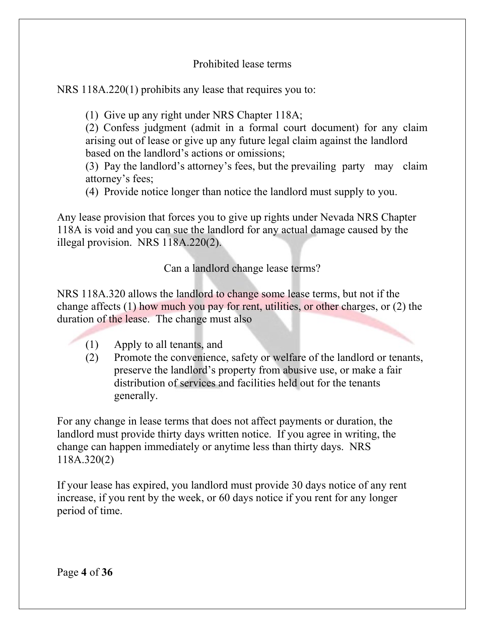Prohibited lease terms

NRS 118A.220(1) prohibits any lease that requires you to:

(1) Give up any right under NRS Chapter 118A;

(2) Confess judgment (admit in a formal court document) for any claim arising out of lease or give up any future legal claim against the landlord based on the landlord's actions or omissions;

(3) Pay the landlord's attorney's fees, but the prevailing party may claim attorney's fees;

(4) Provide notice longer than notice the landlord must supply to you.

Any lease provision that forces you to give up rights under Nevada NRS Chapter 118A is void and you can sue the landlord for any actual damage caused by the illegal provision. NRS 118A.220(2).

Can a landlord change lease terms?

NRS 118A.320 allows the landlord to change some lease terms, but not if the change affects (1) how much you pay for rent, utilities, or other charges, or (2) the duration of the lease. The change must also

- (1) Apply to all tenants, and
- (2) Promote the convenience, safety or welfare of the landlord or tenants, preserve the landlord's property from abusive use, or make a fair distribution of services and facilities held out for the tenants generally.

For any change in lease terms that does not affect payments or duration, the landlord must provide thirty days written notice. If you agree in writing, the change can happen immediately or anytime less than thirty days. NRS 118A.320(2)

If your lease has expired, you landlord must provide 30 days notice of any rent increase, if you rent by the week, or 60 days notice if you rent for any longer period of time.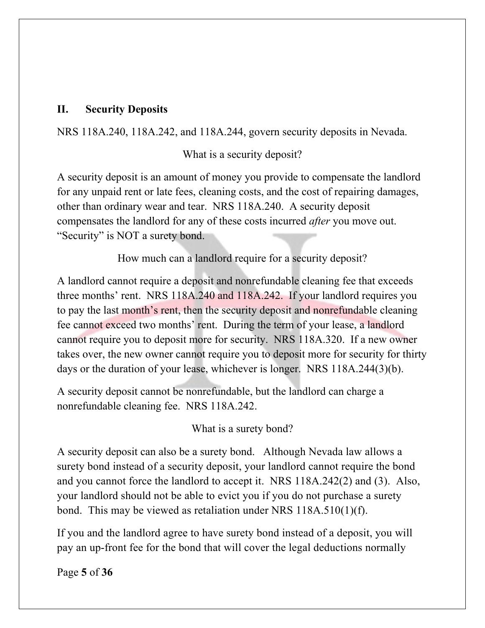### **II. Security Deposits**

NRS 118A.240, 118A.242, and 118A.244, govern security deposits in Nevada.

What is a security deposit?

A security deposit is an amount of money you provide to compensate the landlord for any unpaid rent or late fees, cleaning costs, and the cost of repairing damages, other than ordinary wear and tear. NRS 118A.240. A security deposit compensates the landlord for any of these costs incurred *after* you move out. "Security" is NOT a surety bond.

How much can a landlord require for a security deposit?

A landlord cannot require a deposit and nonrefundable cleaning fee that exceeds three months' rent. NRS 118A.240 and 118A.242. If your landlord requires you to pay the last month's rent, then the security deposit and nonrefundable cleaning fee cannot exceed two months' rent. During the term of your lease, a landlord cannot require you to deposit more for security. NRS 118A.320. If a new owner takes over, the new owner cannot require you to deposit more for security for thirty days or the duration of your lease, whichever is longer. NRS 118A.244(3)(b).

A security deposit cannot be nonrefundable, but the landlord can charge a nonrefundable cleaning fee. NRS 118A.242.

What is a surety bond?

A security deposit can also be a surety bond. Although Nevada law allows a surety bond instead of a security deposit, your landlord cannot require the bond and you cannot force the landlord to accept it. NRS 118A.242(2) and (3). Also, your landlord should not be able to evict you if you do not purchase a surety bond. This may be viewed as retaliation under NRS 118A.510(1)(f).

If you and the landlord agree to have surety bond instead of a deposit, you will pay an up-front fee for the bond that will cover the legal deductions normally

Page **5** of **36**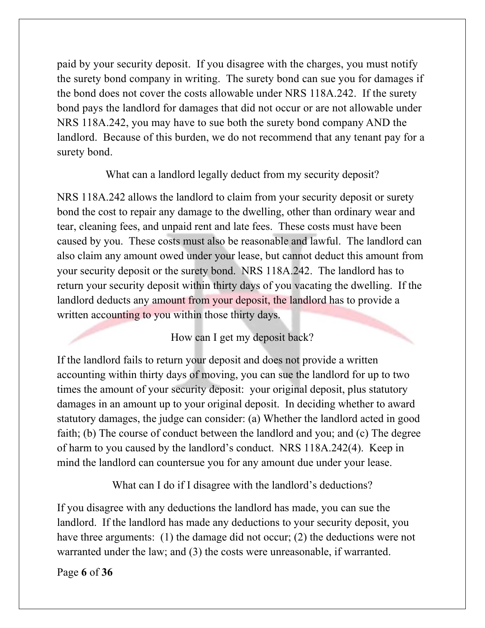paid by your security deposit. If you disagree with the charges, you must notify the surety bond company in writing. The surety bond can sue you for damages if the bond does not cover the costs allowable under NRS 118A.242. If the surety bond pays the landlord for damages that did not occur or are not allowable under NRS 118A.242, you may have to sue both the surety bond company AND the landlord. Because of this burden, we do not recommend that any tenant pay for a surety bond.

What can a landlord legally deduct from my security deposit?

NRS 118A.242 allows the landlord to claim from your security deposit or surety bond the cost to repair any damage to the dwelling, other than ordinary wear and tear, cleaning fees, and unpaid rent and late fees. These costs must have been caused by you. These costs must also be reasonable and lawful. The landlord can also claim any amount owed under your lease, but cannot deduct this amount from your security deposit or the surety bond. NRS 118A.242. The landlord has to return your security deposit within thirty days of you vacating the dwelling. If the landlord deducts any amount from your deposit, the landlord has to provide a written accounting to you within those thirty days.

How can I get my deposit back?

If the landlord fails to return your deposit and does not provide a written accounting within thirty days of moving, you can sue the landlord for up to two times the amount of your security deposit: your original deposit, plus statutory damages in an amount up to your original deposit. In deciding whether to award statutory damages, the judge can consider: (a) Whether the landlord acted in good faith; (b) The course of conduct between the landlord and you; and (c) The degree of harm to you caused by the landlord's conduct. NRS 118A.242(4). Keep in mind the landlord can countersue you for any amount due under your lease.

What can I do if I disagree with the landlord's deductions?

If you disagree with any deductions the landlord has made, you can sue the landlord. If the landlord has made any deductions to your security deposit, you have three arguments: (1) the damage did not occur; (2) the deductions were not warranted under the law; and (3) the costs were unreasonable, if warranted.

Page **6** of **36**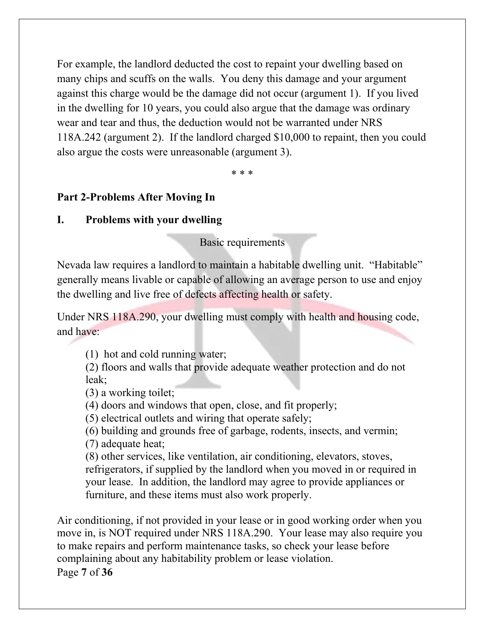For example, the landlord deducted the cost to repaint your dwelling based on many chips and scuffs on the walls. You deny this damage and your argument against this charge would be the damage did not occur (argument 1). If you lived in the dwelling for 10 years, you could also argue that the damage was ordinary wear and tear and thus, the deduction would not be warranted under NRS 118A.242 (argument 2). If the landlord charged \$10,000 to repaint, then you could also argue the costs were unreasonable (argument 3).

\* \* \*

### **Part 2-Problems After Moving In**

### **I. Problems with your dwelling**

Basic requirements

Nevada law requires a landlord to maintain a habitable dwelling unit. "Habitable" generally means livable or capable of allowing an average person to use and enjoy the dwelling and live free of defects affecting health or safety.

Under NRS 118A.290, your dwelling must comply with health and housing code, and have:

(1) hot and cold running water;

(2) floors and walls that provide adequate weather protection and do not leak;

(3) a working toilet;

(4) doors and windows that open, close, and fit properly;

(5) electrical outlets and wiring that operate safely;

(6) building and grounds free of garbage, rodents, insects, and vermin;

(7) adequate heat;

(8) other services, like ventilation, air conditioning, elevators, stoves, refrigerators, if supplied by the landlord when you moved in or required in your lease. In addition, the landlord may agree to provide appliances or furniture, and these items must also work properly.

Air conditioning, if not provided in your lease or in good working order when you move in, is NOT required under NRS 118A.290. Your lease may also require you to make repairs and perform maintenance tasks, so check your lease before complaining about any habitability problem or lease violation.

Page **7** of **36**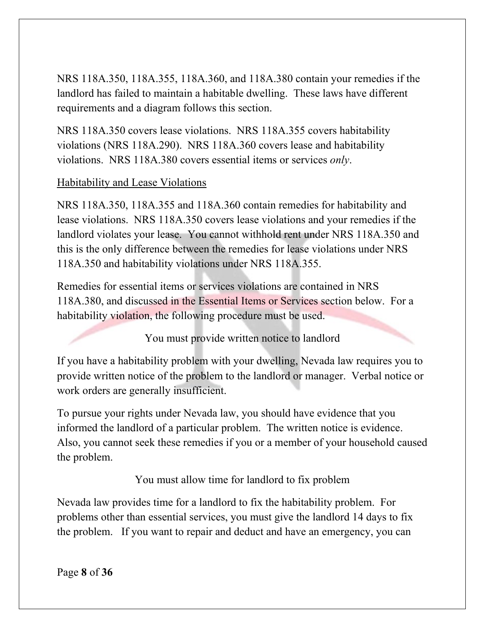NRS 118A.350, 118A.355, 118A.360, and 118A.380 contain your remedies if the landlord has failed to maintain a habitable dwelling. These laws have different requirements and a diagram follows this section.

NRS 118A.350 covers lease violations. NRS 118A.355 covers habitability violations (NRS 118A.290). NRS 118A.360 covers lease and habitability violations. NRS 118A.380 covers essential items or services *only*.

### Habitability and Lease Violations

NRS 118A.350, 118A.355 and 118A.360 contain remedies for habitability and lease violations. NRS 118A.350 covers lease violations and your remedies if the landlord violates your lease. You cannot withhold rent under NRS 118A.350 and this is the only difference between the remedies for lease violations under NRS 118A.350 and habitability violations under NRS 118A.355.

Remedies for essential items or services violations are contained in NRS 118A.380, and discussed in the Essential Items or Services section below. For a habitability violation, the following procedure must be used.

You must provide written notice to landlord

If you have a habitability problem with your dwelling, Nevada law requires you to provide written notice of the problem to the landlord or manager. Verbal notice or work orders are generally insufficient.

To pursue your rights under Nevada law, you should have evidence that you informed the landlord of a particular problem. The written notice is evidence. Also, you cannot seek these remedies if you or a member of your household caused the problem.

You must allow time for landlord to fix problem

Nevada law provides time for a landlord to fix the habitability problem. For problems other than essential services, you must give the landlord 14 days to fix the problem. If you want to repair and deduct and have an emergency, you can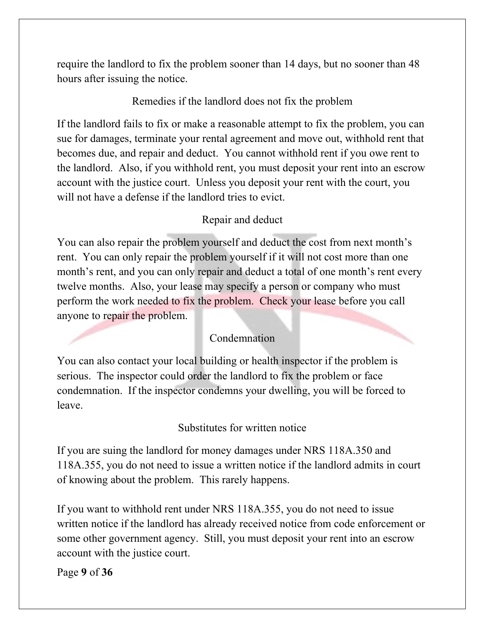require the landlord to fix the problem sooner than 14 days, but no sooner than 48 hours after issuing the notice.

### Remedies if the landlord does not fix the problem

If the landlord fails to fix or make a reasonable attempt to fix the problem, you can sue for damages, terminate your rental agreement and move out, withhold rent that becomes due, and repair and deduct. You cannot withhold rent if you owe rent to the landlord. Also, if you withhold rent, you must deposit your rent into an escrow account with the justice court. Unless you deposit your rent with the court, you will not have a defense if the landlord tries to evict.

#### Repair and deduct

You can also repair the problem yourself and deduct the cost from next month's rent. You can only repair the problem yourself if it will not cost more than one month's rent, and you can only repair and deduct a total of one month's rent every twelve months. Also, your lease may specify a person or company who must perform the work needed to fix the problem. Check your lease before you call anyone to repair the problem.

#### Condemnation

You can also contact your local building or health inspector if the problem is serious. The inspector could order the landlord to fix the problem or face condemnation. If the inspector condemns your dwelling, you will be forced to leave.

#### Substitutes for written notice

If you are suing the landlord for money damages under NRS 118A.350 and 118A.355, you do not need to issue a written notice if the landlord admits in court of knowing about the problem. This rarely happens.

If you want to withhold rent under NRS 118A.355, you do not need to issue written notice if the landlord has already received notice from code enforcement or some other government agency. Still, you must deposit your rent into an escrow account with the justice court.

Page **9** of **36**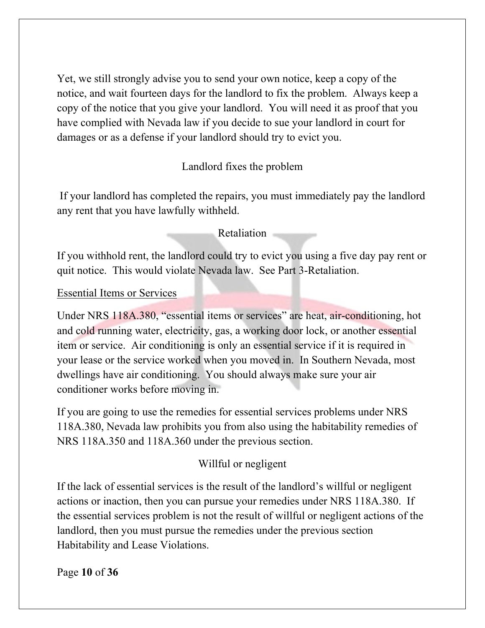Yet, we still strongly advise you to send your own notice, keep a copy of the notice, and wait fourteen days for the landlord to fix the problem. Always keep a copy of the notice that you give your landlord. You will need it as proof that you have complied with Nevada law if you decide to sue your landlord in court for damages or as a defense if your landlord should try to evict you.

# Landlord fixes the problem

If your landlord has completed the repairs, you must immediately pay the landlord any rent that you have lawfully withheld.

### Retaliation

If you withhold rent, the landlord could try to evict you using a five day pay rent or quit notice. This would violate Nevada law. See Part 3-Retaliation.

#### Essential Items or Services

Under NRS 118A.380, "essential items or services" are heat, air-conditioning, hot and cold running water, electricity, gas, a working door lock, or another essential item or service. Air conditioning is only an essential service if it is required in your lease or the service worked when you moved in. In Southern Nevada, most dwellings have air conditioning. You should always make sure your air conditioner works before moving in.

If you are going to use the remedies for essential services problems under NRS 118A.380, Nevada law prohibits you from also using the habitability remedies of NRS 118A.350 and 118A.360 under the previous section.

# Willful or negligent

If the lack of essential services is the result of the landlord's willful or negligent actions or inaction, then you can pursue your remedies under NRS 118A.380. If the essential services problem is not the result of willful or negligent actions of the landlord, then you must pursue the remedies under the previous section Habitability and Lease Violations.

Page **10** of **36**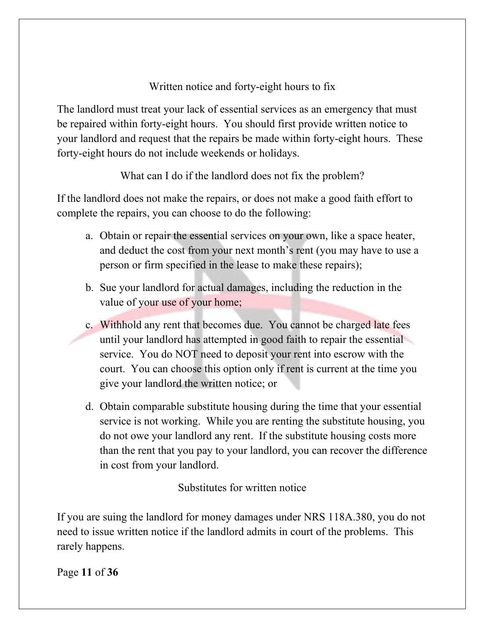# Written notice and forty-eight hours to fix

The landlord must treat your lack of essential services as an emergency that must be repaired within forty-eight hours. You should first provide written notice to your landlord and request that the repairs be made within forty-eight hours. These forty-eight hours do not include weekends or holidays.

What can I do if the landlord does not fix the problem?

If the landlord does not make the repairs, or does not make a good faith effort to complete the repairs, you can choose to do the following:

- a. Obtain or repair the essential services on your own, like a space heater, and deduct the cost from your next month's rent (you may have to use a person or firm specified in the lease to make these repairs);
- b. Sue your landlord for actual damages, including the reduction in the value of your use of your home;
- c. Withhold any rent that becomes due. You cannot be charged late fees until your landlord has attempted in good faith to repair the essential service. You do NOT need to deposit your rent into escrow with the court. You can choose this option only if rent is current at the time you give your landlord the written notice; or
- d. Obtain comparable substitute housing during the time that your essential service is not working. While you are renting the substitute housing, you do not owe your landlord any rent. If the substitute housing costs more than the rent that you pay to your landlord, you can recover the difference in cost from your landlord.

Substitutes for written notice

If you are suing the landlord for money damages under NRS 118A.380, you do not need to issue written notice if the landlord admits in court of the problems. This rarely happens.

Page **11** of **36**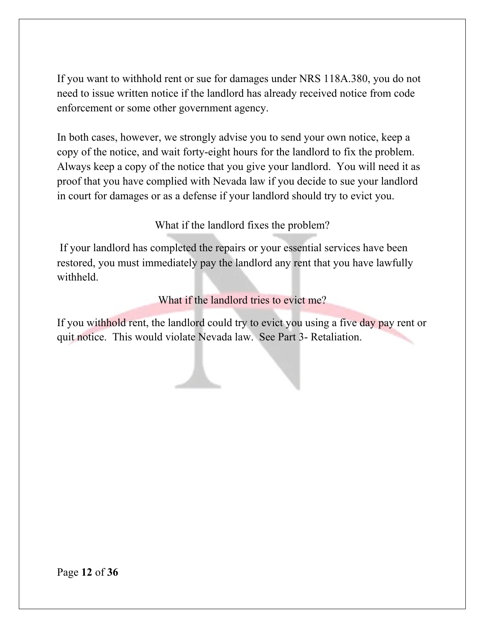If you want to withhold rent or sue for damages under NRS 118A.380, you do not need to issue written notice if the landlord has already received notice from code enforcement or some other government agency.

In both cases, however, we strongly advise you to send your own notice, keep a copy of the notice, and wait forty-eight hours for the landlord to fix the problem. Always keep a copy of the notice that you give your landlord. You will need it as proof that you have complied with Nevada law if you decide to sue your landlord in court for damages or as a defense if your landlord should try to evict you.

What if the landlord fixes the problem?

If your landlord has completed the repairs or your essential services have been restored, you must immediately pay the landlord any rent that you have lawfully withheld.

What if the landlord tries to evict me?

If you withhold rent, the landlord could try to evict you using a five day pay rent or quit notice. This would violate Nevada law. See Part 3- Retaliation.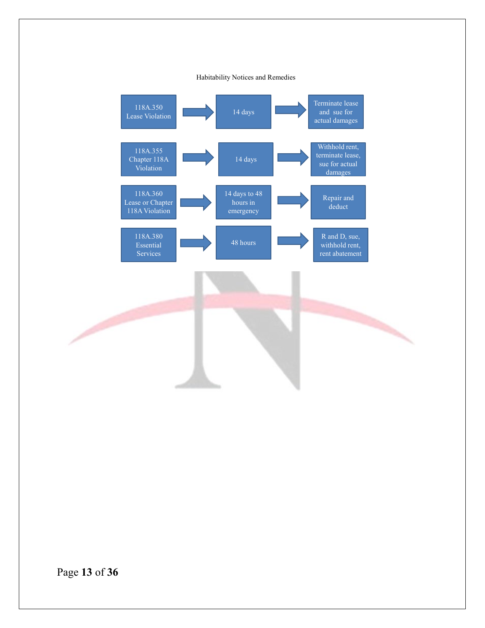#### Habitability Notices and Remedies

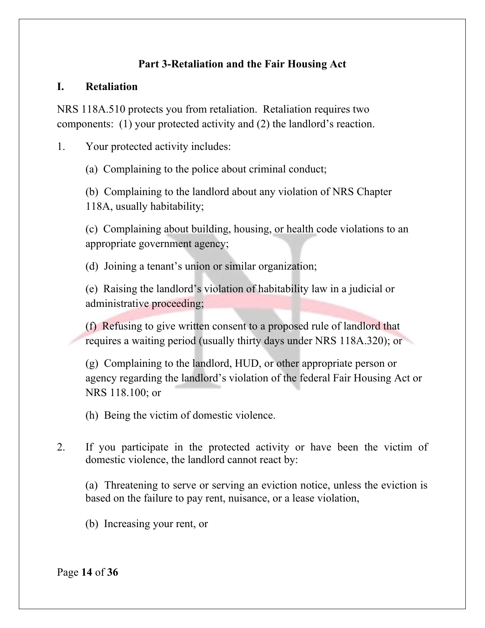# **Part 3-Retaliation and the Fair Housing Act**

### **I. Retaliation**

NRS 118A.510 protects you from retaliation. Retaliation requires two components: (1) your protected activity and (2) the landlord's reaction.

1. Your protected activity includes:

(a) Complaining to the police about criminal conduct;

(b) Complaining to the landlord about any violation of NRS Chapter 118A, usually habitability;

(c) Complaining about building, housing, or health code violations to an appropriate government agency;

(d) Joining a tenant's union or similar organization;

(e) Raising the landlord's violation of habitability law in a judicial or administrative proceeding;

(f) Refusing to give written consent to a proposed rule of landlord that requires a waiting period (usually thirty days under NRS 118A.320); or

(g) Complaining to the landlord, HUD, or other appropriate person or agency regarding the landlord's violation of the federal Fair Housing Act or NRS 118.100; or

(h) Being the victim of domestic violence.

2. If you participate in the protected activity or have been the victim of domestic violence, the landlord cannot react by:

(a) Threatening to serve or serving an eviction notice, unless the eviction is based on the failure to pay rent, nuisance, or a lease violation,

(b) Increasing your rent, or

Page **14** of **36**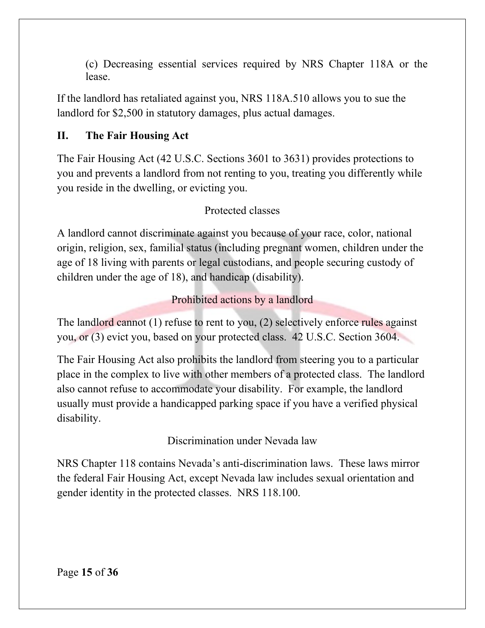(c) Decreasing essential services required by NRS Chapter 118A or the lease.

If the landlord has retaliated against you, NRS 118A.510 allows you to sue the landlord for \$2,500 in statutory damages, plus actual damages.

# **II. The Fair Housing Act**

The Fair Housing Act (42 U.S.C. Sections 3601 to 3631) provides protections to you and prevents a landlord from not renting to you, treating you differently while you reside in the dwelling, or evicting you.

# Protected classes

A landlord cannot discriminate against you because of your race, color, national origin, religion, sex, familial status (including pregnant women, children under the age of 18 living with parents or legal custodians, and people securing custody of children under the age of 18), and handicap (disability).

Prohibited actions by a landlord

The landlord cannot  $(1)$  refuse to rent to you,  $(2)$  selectively enforce rules against you, or (3) evict you, based on your protected class. 42 U.S.C. Section 3604.

The Fair Housing Act also prohibits the landlord from steering you to a particular place in the complex to live with other members of a protected class. The landlord also cannot refuse to accommodate your disability. For example, the landlord usually must provide a handicapped parking space if you have a verified physical disability.

Discrimination under Nevada law

NRS Chapter 118 contains Nevada's anti-discrimination laws. These laws mirror the federal Fair Housing Act, except Nevada law includes sexual orientation and gender identity in the protected classes. NRS 118.100.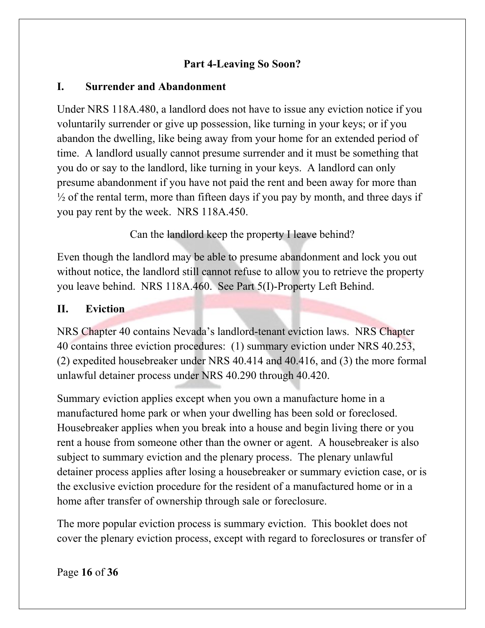### **Part 4-Leaving So Soon?**

### **I. Surrender and Abandonment**

Under NRS 118A.480, a landlord does not have to issue any eviction notice if you voluntarily surrender or give up possession, like turning in your keys; or if you abandon the dwelling, like being away from your home for an extended period of time. A landlord usually cannot presume surrender and it must be something that you do or say to the landlord, like turning in your keys. A landlord can only presume abandonment if you have not paid the rent and been away for more than  $\frac{1}{2}$  of the rental term, more than fifteen days if you pay by month, and three days if you pay rent by the week. NRS 118A.450.

Can the landlord keep the property I leave behind?

Even though the landlord may be able to presume abandonment and lock you out without notice, the landlord still cannot refuse to allow you to retrieve the property you leave behind. NRS 118A.460. See Part 5(I)-Property Left Behind.

### **II. Eviction**

NRS Chapter 40 contains Nevada's landlord-tenant eviction laws. NRS Chapter 40 contains three eviction procedures: (1) summary eviction under NRS 40.253, (2) expedited housebreaker under NRS 40.414 and 40.416, and (3) the more formal unlawful detainer process under NRS 40.290 through 40.420.

Summary eviction applies except when you own a manufacture home in a manufactured home park or when your dwelling has been sold or foreclosed. Housebreaker applies when you break into a house and begin living there or you rent a house from someone other than the owner or agent. A housebreaker is also subject to summary eviction and the plenary process. The plenary unlawful detainer process applies after losing a housebreaker or summary eviction case, or is the exclusive eviction procedure for the resident of a manufactured home or in a home after transfer of ownership through sale or foreclosure.

The more popular eviction process is summary eviction. This booklet does not cover the plenary eviction process, except with regard to foreclosures or transfer of

Page **16** of **36**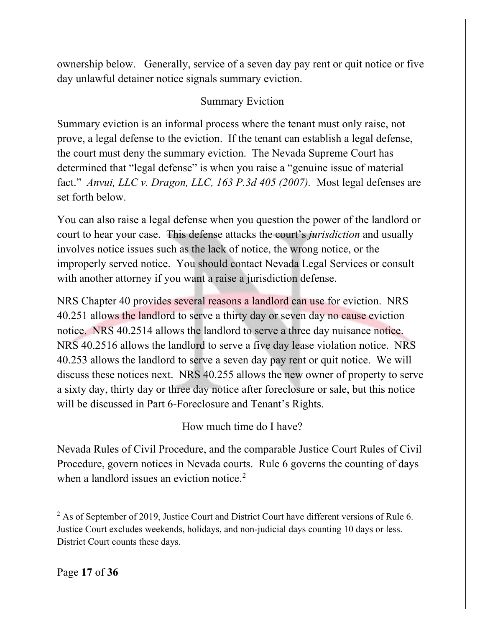ownership below. Generally, service of a seven day pay rent or quit notice or five day unlawful detainer notice signals summary eviction.

# Summary Eviction

Summary eviction is an informal process where the tenant must only raise, not prove, a legal defense to the eviction. If the tenant can establish a legal defense, the court must deny the summary eviction. The Nevada Supreme Court has determined that "legal defense" is when you raise a "genuine issue of material fact." *Anvui, LLC v. Dragon, LLC, 163 P.3d 405 (2007).* Most legal defenses are set forth below.

You can also raise a legal defense when you question the power of the landlord or court to hear your case. This defense attacks the court's *jurisdiction* and usually involves notice issues such as the lack of notice, the wrong notice, or the improperly served notice. You should contact Nevada Legal Services or consult with another attorney if you want a raise a jurisdiction defense.

NRS Chapter 40 provides several reasons a landlord can use for eviction. NRS 40.251 allows the landlord to serve a thirty day or seven day no cause eviction notice. NRS 40.2514 allows the landlord to serve a three day nuisance notice. NRS 40.2516 allows the landlord to serve a five day lease violation notice. NRS 40.253 allows the landlord to serve a seven day pay rent or quit notice. We will discuss these notices next. NRS 40.255 allows the new owner of property to serve a sixty day, thirty day or three day notice after foreclosure or sale, but this notice will be discussed in Part 6-Foreclosure and Tenant's Rights.

How much time do I have?

Nevada Rules of Civil Procedure, and the comparable Justice Court Rules of Civil Procedure, govern notices in Nevada courts. Rule 6 governs the counting of days when a landlord issues an eviction notice.<sup>[2](#page-16-0)</sup>

<span id="page-16-0"></span> $2$  As of September of 2019, Justice Court and District Court have different versions of Rule 6. Justice Court excludes weekends, holidays, and non-judicial days counting 10 days or less. District Court counts these days.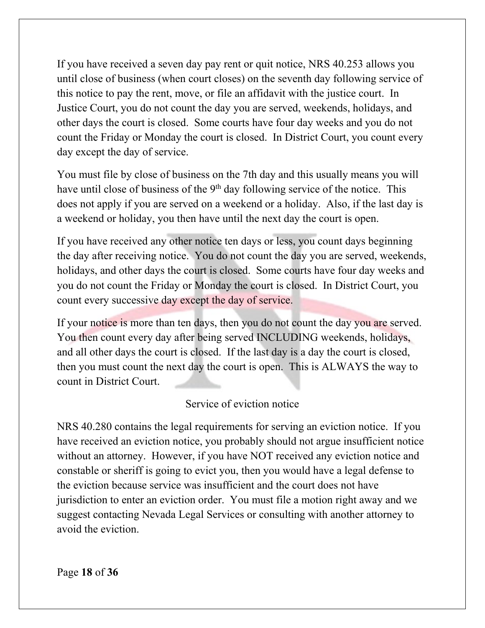If you have received a seven day pay rent or quit notice, NRS 40.253 allows you until close of business (when court closes) on the seventh day following service of this notice to pay the rent, move, or file an affidavit with the justice court. In Justice Court, you do not count the day you are served, weekends, holidays, and other days the court is closed. Some courts have four day weeks and you do not count the Friday or Monday the court is closed. In District Court, you count every day except the day of service.

You must file by close of business on the 7th day and this usually means you will have until close of business of the  $9<sup>th</sup>$  day following service of the notice. This does not apply if you are served on a weekend or a holiday. Also, if the last day is a weekend or holiday, you then have until the next day the court is open.

If you have received any other notice ten days or less, you count days beginning the day after receiving notice. You do not count the day you are served, weekends, holidays, and other days the court is closed. Some courts have four day weeks and you do not count the Friday or Monday the court is closed. In District Court, you count every successive day except the day of service.

If your notice is more than ten days, then you do not count the day you are served. You then count every day after being served INCLUDING weekends, holidays, and all other days the court is closed. If the last day is a day the court is closed, then you must count the next day the court is open. This is ALWAYS the way to count in District Court.

#### Service of eviction notice

NRS 40.280 contains the legal requirements for serving an eviction notice. If you have received an eviction notice, you probably should not argue insufficient notice without an attorney. However, if you have NOT received any eviction notice and constable or sheriff is going to evict you, then you would have a legal defense to the eviction because service was insufficient and the court does not have jurisdiction to enter an eviction order. You must file a motion right away and we suggest contacting Nevada Legal Services or consulting with another attorney to avoid the eviction.

Page **18** of **36**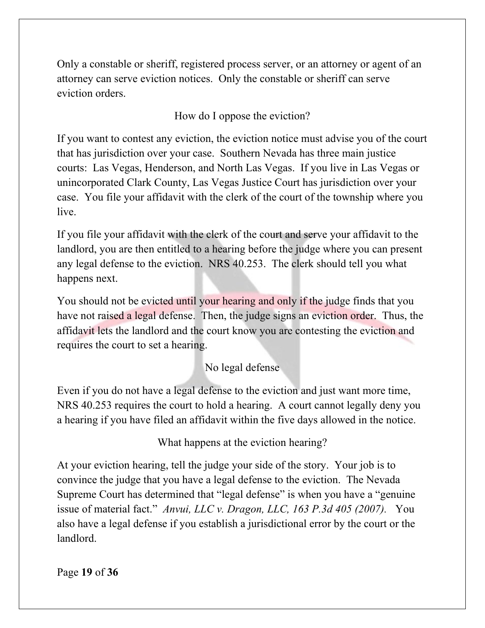Only a constable or sheriff, registered process server, or an attorney or agent of an attorney can serve eviction notices. Only the constable or sheriff can serve eviction orders.

How do I oppose the eviction?

If you want to contest any eviction, the eviction notice must advise you of the court that has jurisdiction over your case. Southern Nevada has three main justice courts: Las Vegas, Henderson, and North Las Vegas. If you live in Las Vegas or unincorporated Clark County, Las Vegas Justice Court has jurisdiction over your case. You file your affidavit with the clerk of the court of the township where you live.

If you file your affidavit with the clerk of the court and serve your affidavit to the landlord, you are then entitled to a hearing before the judge where you can present any legal defense to the eviction. NRS 40.253. The clerk should tell you what happens next.

You should not be evicted until your hearing and only if the judge finds that you have not raised a legal defense. Then, the judge signs an eviction order. Thus, the affidavit lets the landlord and the court know you are contesting the eviction and requires the court to set a hearing.

# No legal defense

Even if you do not have a legal defense to the eviction and just want more time, NRS 40.253 requires the court to hold a hearing. A court cannot legally deny you a hearing if you have filed an affidavit within the five days allowed in the notice.

What happens at the eviction hearing?

At your eviction hearing, tell the judge your side of the story. Your job is to convince the judge that you have a legal defense to the eviction. The Nevada Supreme Court has determined that "legal defense" is when you have a "genuine issue of material fact." *Anvui, LLC v. Dragon, LLC, 163 P.3d 405 (2007).*You also have a legal defense if you establish a jurisdictional error by the court or the landlord.

Page **19** of **36**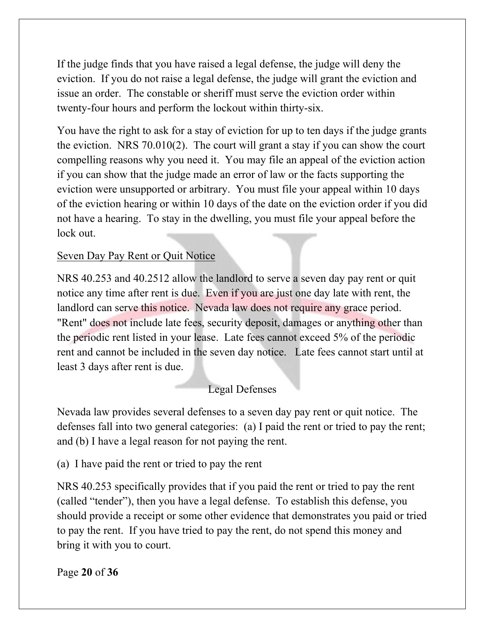If the judge finds that you have raised a legal defense, the judge will deny the eviction. If you do not raise a legal defense, the judge will grant the eviction and issue an order. The constable or sheriff must serve the eviction order within twenty-four hours and perform the lockout within thirty-six.

You have the right to ask for a stay of eviction for up to ten days if the judge grants the eviction. NRS 70.010(2). The court will grant a stay if you can show the court compelling reasons why you need it. You may file an appeal of the eviction action if you can show that the judge made an error of law or the facts supporting the eviction were unsupported or arbitrary. You must file your appeal within 10 days of the eviction hearing or within 10 days of the date on the eviction order if you did not have a hearing. To stay in the dwelling, you must file your appeal before the lock out.

# Seven Day Pay Rent or Quit Notice

NRS 40.253 and 40.2512 allow the landlord to serve a seven day pay rent or quit notice any time after rent is due. Even if you are just one day late with rent, the landlord can serve this notice. Nevada law does not require any grace period. "Rent" does not include late fees, security deposit, damages or anything other than the periodic rent listed in your lease. Late fees cannot exceed 5% of the periodic rent and cannot be included in the seven day notice. Late fees cannot start until at least 3 days after rent is due.

# Legal Defenses

Nevada law provides several defenses to a seven day pay rent or quit notice. The defenses fall into two general categories: (a) I paid the rent or tried to pay the rent; and (b) I have a legal reason for not paying the rent.

(a) I have paid the rent or tried to pay the rent

NRS 40.253 specifically provides that if you paid the rent or tried to pay the rent (called "tender"), then you have a legal defense. To establish this defense, you should provide a receipt or some other evidence that demonstrates you paid or tried to pay the rent. If you have tried to pay the rent, do not spend this money and bring it with you to court.

Page **20** of **36**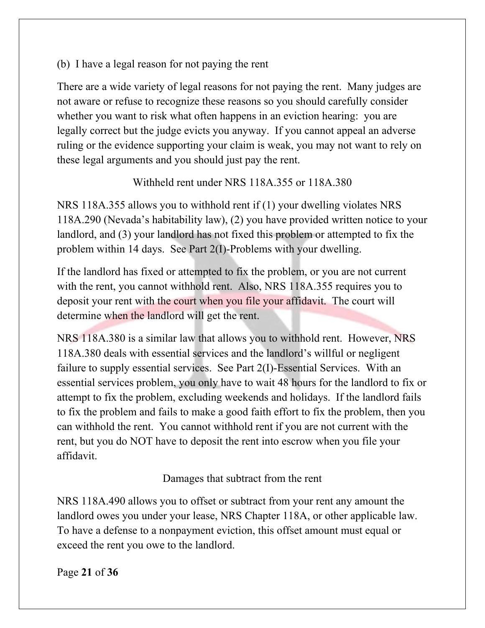(b) I have a legal reason for not paying the rent

There are a wide variety of legal reasons for not paying the rent. Many judges are not aware or refuse to recognize these reasons so you should carefully consider whether you want to risk what often happens in an eviction hearing: you are legally correct but the judge evicts you anyway. If you cannot appeal an adverse ruling or the evidence supporting your claim is weak, you may not want to rely on these legal arguments and you should just pay the rent.

# Withheld rent under NRS 118A.355 or 118A.380

NRS 118A.355 allows you to withhold rent if (1) your dwelling violates NRS 118A.290 (Nevada's habitability law), (2) you have provided written notice to your landlord, and (3) your landlord has not fixed this problem or attempted to fix the problem within 14 days. See Part 2(I)-Problems with your dwelling.

If the landlord has fixed or attempted to fix the problem, or you are not current with the rent, you cannot withhold rent. Also, NRS 118A.355 requires you to deposit your rent with the court when you file your affidavit. The court will determine when the landlord will get the rent.

NRS 118A.380 is a similar law that allows you to withhold rent. However, NRS 118A.380 deals with essential services and the landlord's willful or negligent failure to supply essential services. See Part 2(I)-Essential Services. With an essential services problem, you only have to wait 48 hours for the landlord to fix or attempt to fix the problem, excluding weekends and holidays. If the landlord fails to fix the problem and fails to make a good faith effort to fix the problem, then you can withhold the rent. You cannot withhold rent if you are not current with the rent, but you do NOT have to deposit the rent into escrow when you file your affidavit.

Damages that subtract from the rent

NRS 118A.490 allows you to offset or subtract from your rent any amount the landlord owes you under your lease, NRS Chapter 118A, or other applicable law. To have a defense to a nonpayment eviction, this offset amount must equal or exceed the rent you owe to the landlord.

Page **21** of **36**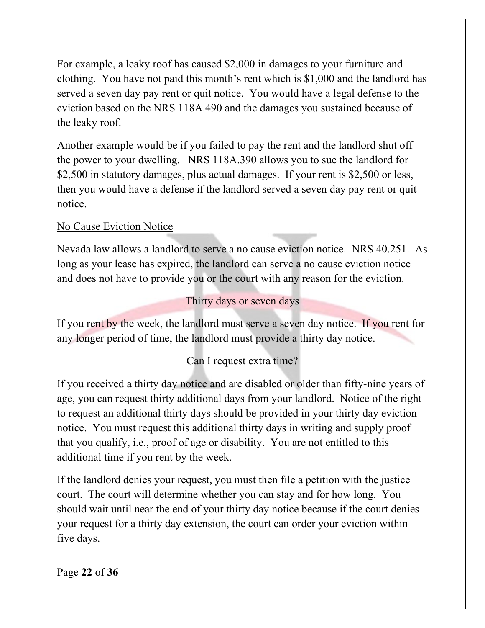For example, a leaky roof has caused \$2,000 in damages to your furniture and clothing. You have not paid this month's rent which is \$1,000 and the landlord has served a seven day pay rent or quit notice. You would have a legal defense to the eviction based on the NRS 118A.490 and the damages you sustained because of the leaky roof.

Another example would be if you failed to pay the rent and the landlord shut off the power to your dwelling. NRS 118A.390 allows you to sue the landlord for \$2,500 in statutory damages, plus actual damages. If your rent is \$2,500 or less, then you would have a defense if the landlord served a seven day pay rent or quit notice.

# No Cause Eviction Notice

Nevada law allows a landlord to serve a no cause eviction notice. NRS 40.251. As long as your lease has expired, the landlord can serve a no cause eviction notice and does not have to provide you or the court with any reason for the eviction.

### Thirty days or seven days

If you rent by the week, the landlord must serve a seven day notice. If you rent for any longer period of time, the landlord must provide a thirty day notice.

# Can I request extra time?

If you received a thirty day notice and are disabled or older than fifty-nine years of age, you can request thirty additional days from your landlord. Notice of the right to request an additional thirty days should be provided in your thirty day eviction notice. You must request this additional thirty days in writing and supply proof that you qualify, i.e., proof of age or disability. You are not entitled to this additional time if you rent by the week.

If the landlord denies your request, you must then file a petition with the justice court. The court will determine whether you can stay and for how long. You should wait until near the end of your thirty day notice because if the court denies your request for a thirty day extension, the court can order your eviction within five days.

Page **22** of **36**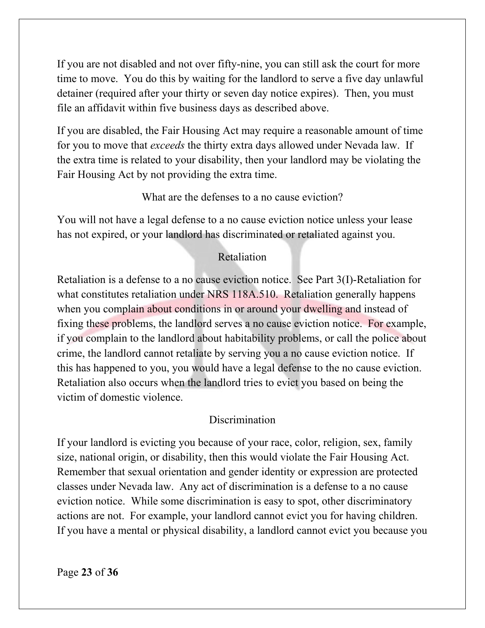If you are not disabled and not over fifty-nine, you can still ask the court for more time to move. You do this by waiting for the landlord to serve a five day unlawful detainer (required after your thirty or seven day notice expires). Then, you must file an affidavit within five business days as described above.

If you are disabled, the Fair Housing Act may require a reasonable amount of time for you to move that *exceeds* the thirty extra days allowed under Nevada law. If the extra time is related to your disability, then your landlord may be violating the Fair Housing Act by not providing the extra time.

### What are the defenses to a no cause eviction?

You will not have a legal defense to a no cause eviction notice unless your lease has not expired, or your landlord has discriminated or retaliated against you.

# Retaliation

Retaliation is a defense to a no cause eviction notice. See Part 3(I)-Retaliation for what constitutes retaliation under NRS 118A.510. Retaliation generally happens when you complain about conditions in or around your dwelling and instead of fixing these problems, the landlord serves a no cause eviction notice. For example, if you complain to the landlord about habitability problems, or call the police about crime, the landlord cannot retaliate by serving you a no cause eviction notice. If this has happened to you, you would have a legal defense to the no cause eviction. Retaliation also occurs when the landlord tries to evict you based on being the victim of domestic violence.

# Discrimination

If your landlord is evicting you because of your race, color, religion, sex, family size, national origin, or disability, then this would violate the Fair Housing Act. Remember that sexual orientation and gender identity or expression are protected classes under Nevada law. Any act of discrimination is a defense to a no cause eviction notice. While some discrimination is easy to spot, other discriminatory actions are not. For example, your landlord cannot evict you for having children. If you have a mental or physical disability, a landlord cannot evict you because you

Page **23** of **36**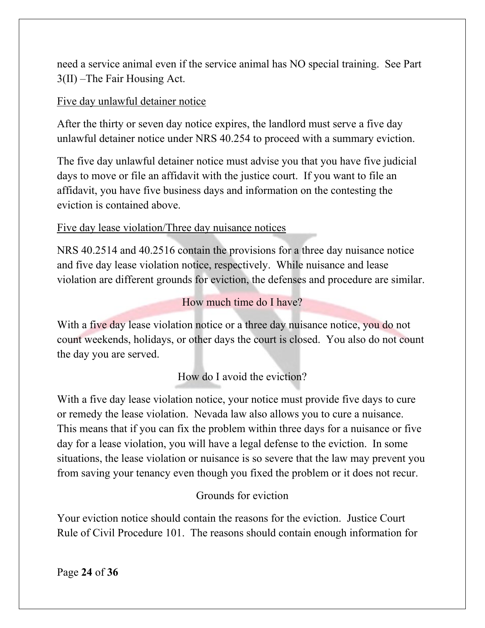need a service animal even if the service animal has NO special training. See Part 3(II) –The Fair Housing Act.

### Five day unlawful detainer notice

After the thirty or seven day notice expires, the landlord must serve a five day unlawful detainer notice under NRS 40.254 to proceed with a summary eviction.

The five day unlawful detainer notice must advise you that you have five judicial days to move or file an affidavit with the justice court. If you want to file an affidavit, you have five business days and information on the contesting the eviction is contained above.

# Five day lease violation/Three day nuisance notices

NRS 40.2514 and 40.2516 contain the provisions for a three day nuisance notice and five day lease violation notice, respectively. While nuisance and lease violation are different grounds for eviction, the defenses and procedure are similar.

# How much time do I have?

With a five day lease violation notice or a three day nuisance notice, you do not count weekends, holidays, or other days the court is closed. You also do not count the day you are served.

How do I avoid the eviction?

With a five day lease violation notice, your notice must provide five days to cure or remedy the lease violation. Nevada law also allows you to cure a nuisance. This means that if you can fix the problem within three days for a nuisance or five day for a lease violation, you will have a legal defense to the eviction. In some situations, the lease violation or nuisance is so severe that the law may prevent you from saving your tenancy even though you fixed the problem or it does not recur.

# Grounds for eviction

Your eviction notice should contain the reasons for the eviction. Justice Court Rule of Civil Procedure 101. The reasons should contain enough information for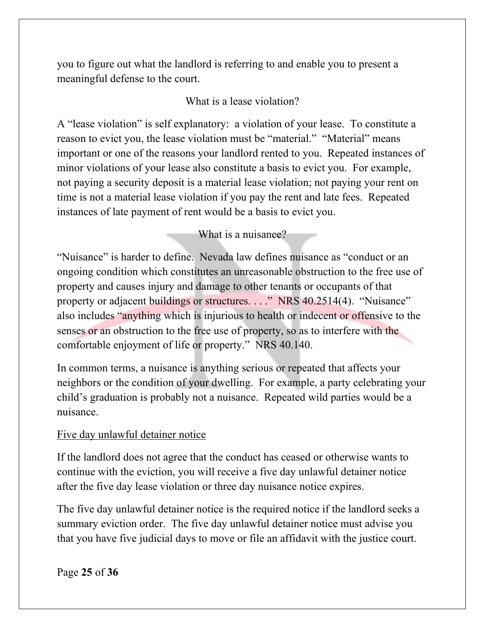you to figure out what the landlord is referring to and enable you to present a meaningful defense to the court.

#### What is a lease violation?

A "lease violation" is self explanatory: a violation of your lease. To constitute a reason to evict you, the lease violation must be "material." "Material" means important or one of the reasons your landlord rented to you. Repeated instances of minor violations of your lease also constitute a basis to evict you. For example, not paying a security deposit is a material lease violation; not paying your rent on time is not a material lease violation if you pay the rent and late fees. Repeated instances of late payment of rent would be a basis to evict you.

#### What is a nuisance?

"Nuisance" is harder to define. Nevada law defines nuisance as "conduct or an ongoing condition which constitutes an unreasonable obstruction to the free use of property and causes injury and damage to other tenants or occupants of that property or adjacent buildings or structures. . . ." NRS 40.2514(4). "Nuisance" also includes "anything which is injurious to health or indecent or offensive to the senses or an obstruction to the free use of property, so as to interfere with the comfortable enjoyment of life or property." NRS 40.140.

In common terms, a nuisance is anything serious or repeated that affects your neighbors or the condition of your dwelling. For example, a party celebrating your child's graduation is probably not a nuisance. Repeated wild parties would be a nuisance.

#### Five day unlawful detainer notice

If the landlord does not agree that the conduct has ceased or otherwise wants to continue with the eviction, you will receive a five day unlawful detainer notice after the five day lease violation or three day nuisance notice expires.

The five day unlawful detainer notice is the required notice if the landlord seeks a summary eviction order. The five day unlawful detainer notice must advise you that you have five judicial days to move or file an affidavit with the justice court.

Page **25** of **36**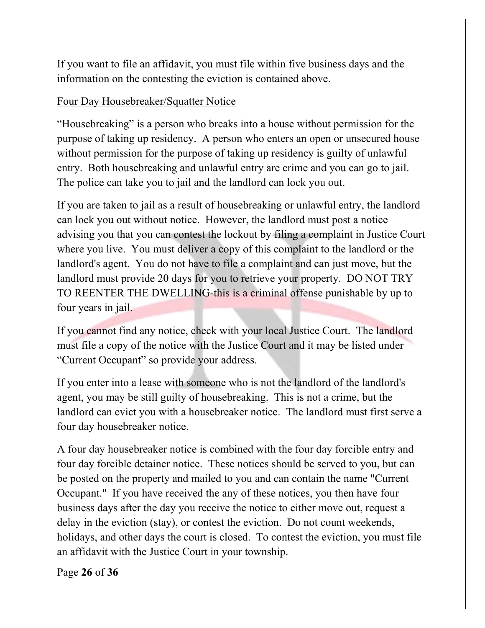If you want to file an affidavit, you must file within five business days and the information on the contesting the eviction is contained above.

# Four Day Housebreaker/Squatter Notice

"Housebreaking" is a person who breaks into a house without permission for the purpose of taking up residency. A person who enters an open or unsecured house without permission for the purpose of taking up residency is guilty of unlawful entry. Both housebreaking and unlawful entry are crime and you can go to jail. The police can take you to jail and the landlord can lock you out.

If you are taken to jail as a result of housebreaking or unlawful entry, the landlord can lock you out without notice. However, the landlord must post a notice advising you that you can contest the lockout by filing a complaint in Justice Court where you live. You must deliver a copy of this complaint to the landlord or the landlord's agent. You do not have to file a complaint and can just move, but the landlord must provide 20 days for you to retrieve your property. DO NOT TRY TO REENTER THE DWELLING-this is a criminal offense punishable by up to four years in jail.

If you cannot find any notice, check with your local Justice Court. The landlord must file a copy of the notice with the Justice Court and it may be listed under "Current Occupant" so provide your address.

If you enter into a lease with someone who is not the landlord of the landlord's agent, you may be still guilty of housebreaking. This is not a crime, but the landlord can evict you with a housebreaker notice. The landlord must first serve a four day housebreaker notice.

A four day housebreaker notice is combined with the four day forcible entry and four day forcible detainer notice. These notices should be served to you, but can be posted on the property and mailed to you and can contain the name "Current Occupant." If you have received the any of these notices, you then have four business days after the day you receive the notice to either move out, request a delay in the eviction (stay), or contest the eviction. Do not count weekends, holidays, and other days the court is closed. To contest the eviction, you must file an affidavit with the Justice Court in your township.

Page **26** of **36**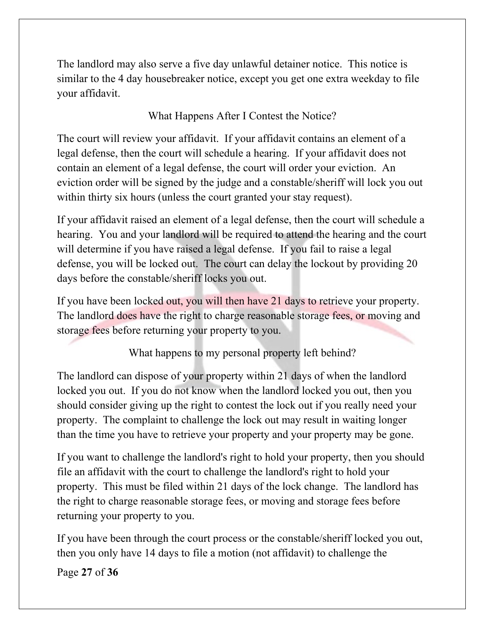The landlord may also serve a five day unlawful detainer notice. This notice is similar to the 4 day housebreaker notice, except you get one extra weekday to file your affidavit.

What Happens After I Contest the Notice?

The court will review your affidavit. If your affidavit contains an element of a legal defense, then the court will schedule a hearing. If your affidavit does not contain an element of a legal defense, the court will order your eviction. An eviction order will be signed by the judge and a constable/sheriff will lock you out within thirty six hours (unless the court granted your stay request).

If your affidavit raised an element of a legal defense, then the court will schedule a hearing. You and your landlord will be required to attend the hearing and the court will determine if you have raised a legal defense. If you fail to raise a legal defense, you will be locked out. The court can delay the lockout by providing 20 days before the constable/sheriff locks you out.

If you have been locked out, you will then have 21 days to retrieve your property. The landlord does have the right to charge reasonable storage fees, or moving and storage fees before returning your property to you.

What happens to my personal property left behind?

The landlord can dispose of your property within 21 days of when the landlord locked you out. If you do not know when the landlord locked you out, then you should consider giving up the right to contest the lock out if you really need your property. The complaint to challenge the lock out may result in waiting longer than the time you have to retrieve your property and your property may be gone.

If you want to challenge the landlord's right to hold your property, then you should file an affidavit with the court to challenge the landlord's right to hold your property. This must be filed within 21 days of the lock change. The landlord has the right to charge reasonable storage fees, or moving and storage fees before returning your property to you.

If you have been through the court process or the constable/sheriff locked you out, then you only have 14 days to file a motion (not affidavit) to challenge the

Page **27** of **36**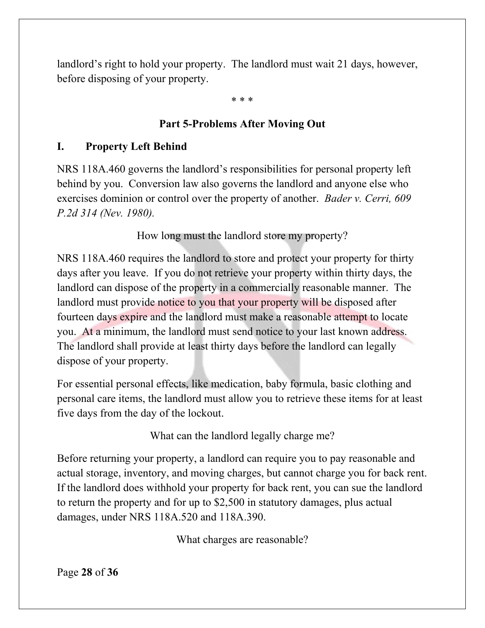landlord's right to hold your property. The landlord must wait 21 days, however, before disposing of your property.

\* \* \*

# **Part 5-Problems After Moving Out**

### **I. Property Left Behind**

NRS 118A.460 governs the landlord's responsibilities for personal property left behind by you. Conversion law also governs the landlord and anyone else who exercises dominion or control over the property of another. *Bader v. Cerri, 609 P.2d 314 (Nev. 1980).* 

How long must the landlord store my property?

NRS 118A.460 requires the landlord to store and protect your property for thirty days after you leave. If you do not retrieve your property within thirty days, the landlord can dispose of the property in a commercially reasonable manner. The landlord must provide notice to you that your property will be disposed after fourteen days expire and the landlord must make a reasonable attempt to locate you. At a minimum, the landlord must send notice to your last known address. The landlord shall provide at least thirty days before the landlord can legally dispose of your property.

For essential personal effects, like medication, baby formula, basic clothing and personal care items, the landlord must allow you to retrieve these items for at least five days from the day of the lockout.

What can the landlord legally charge me?

Before returning your property, a landlord can require you to pay reasonable and actual storage, inventory, and moving charges, but cannot charge you for back rent. If the landlord does withhold your property for back rent, you can sue the landlord to return the property and for up to \$2,500 in statutory damages, plus actual damages, under NRS 118A.520 and 118A.390.

What charges are reasonable?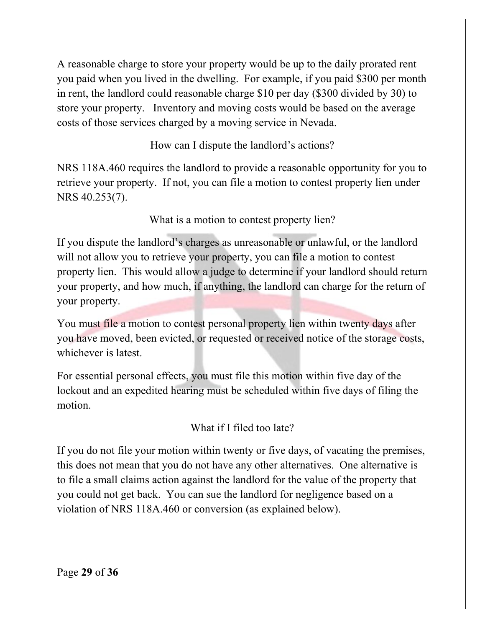A reasonable charge to store your property would be up to the daily prorated rent you paid when you lived in the dwelling. For example, if you paid \$300 per month in rent, the landlord could reasonable charge \$10 per day (\$300 divided by 30) to store your property. Inventory and moving costs would be based on the average costs of those services charged by a moving service in Nevada.

How can I dispute the landlord's actions?

NRS 118A.460 requires the landlord to provide a reasonable opportunity for you to retrieve your property. If not, you can file a motion to contest property lien under NRS 40.253(7).

What is a motion to contest property lien?

If you dispute the landlord's charges as unreasonable or unlawful, or the landlord will not allow you to retrieve your property, you can file a motion to contest property lien. This would allow a judge to determine if your landlord should return your property, and how much, if anything, the landlord can charge for the return of your property.

You must file a motion to contest personal property lien within twenty days after you have moved, been evicted, or requested or received notice of the storage costs, whichever is latest.

For essential personal effects, you must file this motion within five day of the lockout and an expedited hearing must be scheduled within five days of filing the motion.

What if I filed too late?

If you do not file your motion within twenty or five days, of vacating the premises, this does not mean that you do not have any other alternatives. One alternative is to file a small claims action against the landlord for the value of the property that you could not get back. You can sue the landlord for negligence based on a violation of NRS 118A.460 or conversion (as explained below).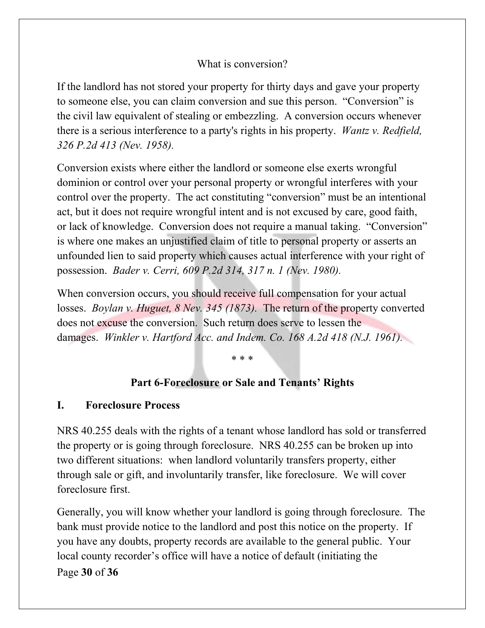### What is conversion?

If the landlord has not stored your property for thirty days and gave your property to someone else, you can claim conversion and sue this person. "Conversion" is the civil law equivalent of stealing or embezzling. A conversion occurs whenever there is a serious interference to a party's rights in his property. *Wantz v. Redfield, 326 P.2d 413 (Nev. 1958).*

Conversion exists where either the landlord or someone else exerts wrongful dominion or control over your personal property or wrongful interferes with your control over the property. The act constituting "conversion" must be an intentional act, but it does not require wrongful intent and is not excused by care, good faith, or lack of knowledge. Conversion does not require a manual taking. "Conversion" is where one makes an unjustified claim of title to personal property or asserts an unfounded lien to said property which causes actual interference with your right of possession. *Bader v. Cerri, 609 P.2d 314, 317 n. 1 (Nev. 1980).* 

When conversion occurs, you should receive full compensation for your actual losses. *Boylan v. Huguet, 8 Nev. 345 (1873).* The return of the property converted does not excuse the conversion. Such return does serve to lessen the damages. *Winkler v. Hartford Acc. and Indem. Co. 168 A.2d 418 (N.J. 1961).*

\* \* \*

### **Part 6-Foreclosure or Sale and Tenants' Rights**

### **I. Foreclosure Process**

NRS 40.255 deals with the rights of a tenant whose landlord has sold or transferred the property or is going through foreclosure. NRS 40.255 can be broken up into two different situations: when landlord voluntarily transfers property, either through sale or gift, and involuntarily transfer, like foreclosure. We will cover foreclosure first.

Page **30** of **36** Generally, you will know whether your landlord is going through foreclosure. The bank must provide notice to the landlord and post this notice on the property. If you have any doubts, property records are available to the general public. Your local county recorder's office will have a notice of default (initiating the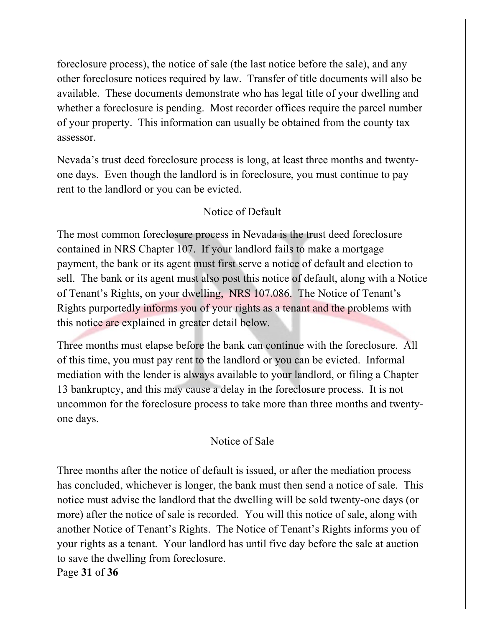foreclosure process), the notice of sale (the last notice before the sale), and any other foreclosure notices required by law. Transfer of title documents will also be available. These documents demonstrate who has legal title of your dwelling and whether a foreclosure is pending. Most recorder offices require the parcel number of your property. This information can usually be obtained from the county tax assessor.

Nevada's trust deed foreclosure process is long, at least three months and twentyone days. Even though the landlord is in foreclosure, you must continue to pay rent to the landlord or you can be evicted.

### Notice of Default

The most common foreclosure process in Nevada is the trust deed foreclosure contained in NRS Chapter 107. If your landlord fails to make a mortgage payment, the bank or its agent must first serve a notice of default and election to sell. The bank or its agent must also post this notice of default, along with a Notice of Tenant's Rights, on your dwelling, NRS 107.086. The Notice of Tenant's Rights purportedly informs you of your rights as a tenant and the problems with this notice are explained in greater detail below.

Three months must elapse before the bank can continue with the foreclosure. All of this time, you must pay rent to the landlord or you can be evicted. Informal mediation with the lender is always available to your landlord, or filing a Chapter 13 bankruptcy, and this may cause a delay in the foreclosure process. It is not uncommon for the foreclosure process to take more than three months and twentyone days.

### Notice of Sale

Page **31** of **36** Three months after the notice of default is issued, or after the mediation process has concluded, whichever is longer, the bank must then send a notice of sale. This notice must advise the landlord that the dwelling will be sold twenty-one days (or more) after the notice of sale is recorded. You will this notice of sale, along with another Notice of Tenant's Rights. The Notice of Tenant's Rights informs you of your rights as a tenant. Your landlord has until five day before the sale at auction to save the dwelling from foreclosure.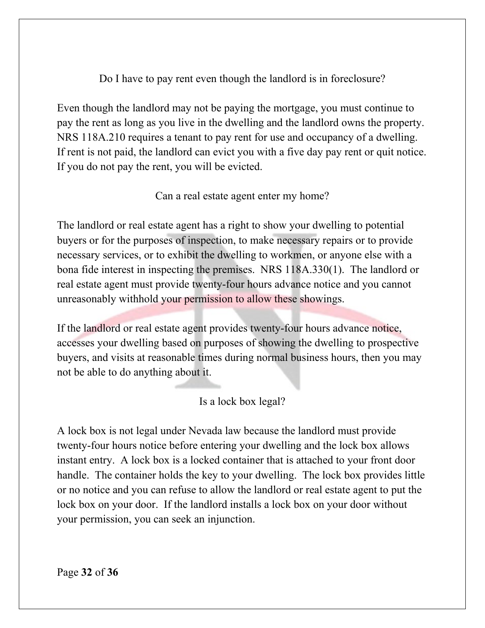Do I have to pay rent even though the landlord is in foreclosure?

Even though the landlord may not be paying the mortgage, you must continue to pay the rent as long as you live in the dwelling and the landlord owns the property. NRS 118A.210 requires a tenant to pay rent for use and occupancy of a dwelling. If rent is not paid, the landlord can evict you with a five day pay rent or quit notice. If you do not pay the rent, you will be evicted.

Can a real estate agent enter my home?

The landlord or real estate agent has a right to show your dwelling to potential buyers or for the purposes of inspection, to make necessary repairs or to provide necessary services, or to exhibit the dwelling to workmen, or anyone else with a bona fide interest in inspecting the premises. NRS 118A.330(1). The landlord or real estate agent must provide twenty-four hours advance notice and you cannot unreasonably withhold your permission to allow these showings.

If the landlord or real estate agent provides twenty-four hours advance notice, accesses your dwelling based on purposes of showing the dwelling to prospective buyers, and visits at reasonable times during normal business hours, then you may not be able to do anything about it.

# Is a lock box legal?

A lock box is not legal under Nevada law because the landlord must provide twenty-four hours notice before entering your dwelling and the lock box allows instant entry. A lock box is a locked container that is attached to your front door handle. The container holds the key to your dwelling. The lock box provides little or no notice and you can refuse to allow the landlord or real estate agent to put the lock box on your door. If the landlord installs a lock box on your door without your permission, you can seek an injunction.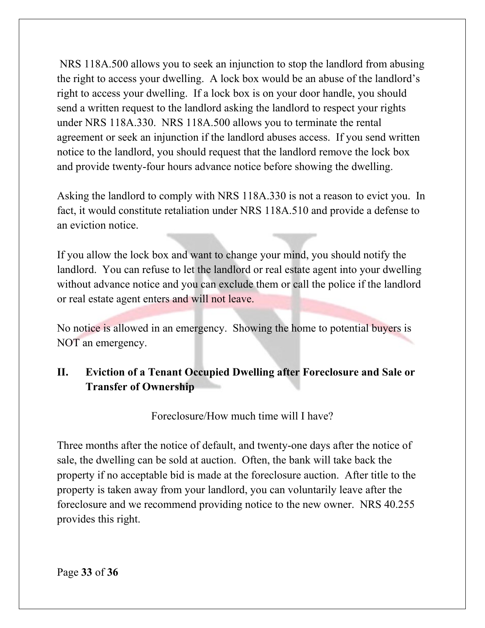NRS 118A.500 allows you to seek an injunction to stop the landlord from abusing the right to access your dwelling. A lock box would be an abuse of the landlord's right to access your dwelling. If a lock box is on your door handle, you should send a written request to the landlord asking the landlord to respect your rights under NRS 118A.330. NRS 118A.500 allows you to terminate the rental agreement or seek an injunction if the landlord abuses access.If you send written notice to the landlord, you should request that the landlord remove the lock box and provide twenty-four hours advance notice before showing the dwelling.

Asking the landlord to comply with NRS 118A.330 is not a reason to evict you. In fact, it would constitute retaliation under NRS 118A.510 and provide a defense to an eviction notice.

If you allow the lock box and want to change your mind, you should notify the landlord. You can refuse to let the landlord or real estate agent into your dwelling without advance notice and you can exclude them or call the police if the landlord or real estate agent enters and will not leave.

No notice is allowed in an emergency. Showing the home to potential buyers is NOT an emergency.

# **II. Eviction of a Tenant Occupied Dwelling after Foreclosure and Sale or Transfer of Ownership**

Foreclosure/How much time will I have?

Three months after the notice of default, and twenty-one days after the notice of sale, the dwelling can be sold at auction. Often, the bank will take back the property if no acceptable bid is made at the foreclosure auction. After title to the property is taken away from your landlord, you can voluntarily leave after the foreclosure and we recommend providing notice to the new owner. NRS 40.255 provides this right.

Page **33** of **36**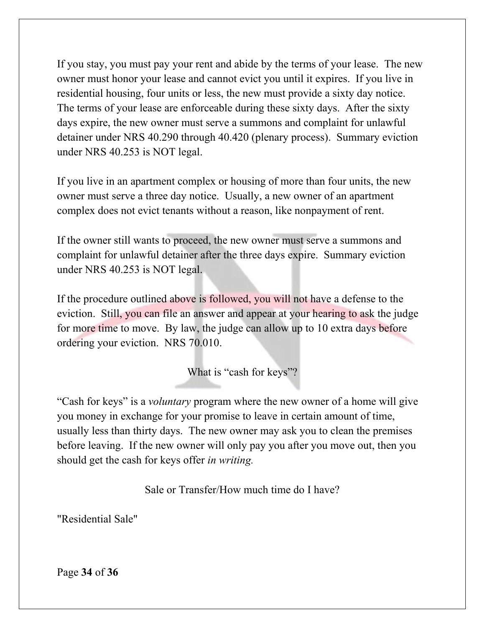If you stay, you must pay your rent and abide by the terms of your lease. The new owner must honor your lease and cannot evict you until it expires. If you live in residential housing, four units or less, the new must provide a sixty day notice. The terms of your lease are enforceable during these sixty days. After the sixty days expire, the new owner must serve a summons and complaint for unlawful detainer under NRS 40.290 through 40.420 (plenary process). Summary eviction under NRS 40.253 is NOT legal.

If you live in an apartment complex or housing of more than four units, the new owner must serve a three day notice. Usually, a new owner of an apartment complex does not evict tenants without a reason, like nonpayment of rent.

If the owner still wants to proceed, the new owner must serve a summons and complaint for unlawful detainer after the three days expire. Summary eviction under NRS 40.253 is NOT legal.

If the procedure outlined above is followed, you will not have a defense to the eviction. Still, you can file an answer and appear at your hearing to ask the judge for more time to move. By law, the judge can allow up to 10 extra days before ordering your eviction. NRS 70.010.

What is "cash for keys"?

"Cash for keys" is a *voluntary* program where the new owner of a home will give you money in exchange for your promise to leave in certain amount of time, usually less than thirty days. The new owner may ask you to clean the premises before leaving. If the new owner will only pay you after you move out, then you should get the cash for keys offer *in writing.*

Sale or Transfer/How much time do I have?

"Residential Sale"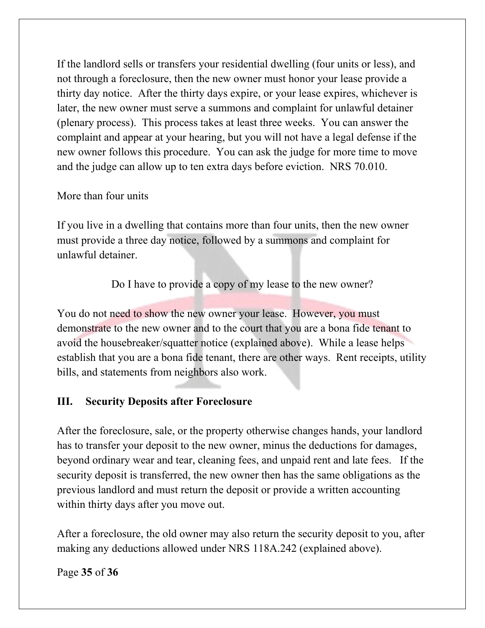If the landlord sells or transfers your residential dwelling (four units or less), and not through a foreclosure, then the new owner must honor your lease provide a thirty day notice. After the thirty days expire, or your lease expires, whichever is later, the new owner must serve a summons and complaint for unlawful detainer (plenary process). This process takes at least three weeks. You can answer the complaint and appear at your hearing, but you will not have a legal defense if the new owner follows this procedure. You can ask the judge for more time to move and the judge can allow up to ten extra days before eviction. NRS 70.010.

#### More than four units

If you live in a dwelling that contains more than four units, then the new owner must provide a three day notice, followed by a summons and complaint for unlawful detainer.

Do I have to provide a copy of my lease to the new owner?

You do not need to show the new owner your lease. However, you must demonstrate to the new owner and to the court that you are a bona fide tenant to avoid the housebreaker/squatter notice (explained above). While a lease helps establish that you are a bona fide tenant, there are other ways. Rent receipts, utility bills, and statements from neighbors also work.

### **III. Security Deposits after Foreclosure**

After the foreclosure, sale, or the property otherwise changes hands, your landlord has to transfer your deposit to the new owner, minus the deductions for damages, beyond ordinary wear and tear, cleaning fees, and unpaid rent and late fees. If the security deposit is transferred, the new owner then has the same obligations as the previous landlord and must return the deposit or provide a written accounting within thirty days after you move out.

After a foreclosure, the old owner may also return the security deposit to you, after making any deductions allowed under NRS 118A.242 (explained above).

Page **35** of **36**